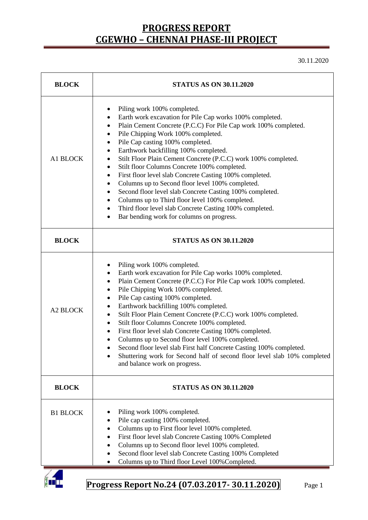30.11.2020

| <b>STATUS AS ON 30.11.2020</b>                                                                                                                                                                                                                                                                                                                                                                                                                                                                                                                                                                                                                                                                                                                                                                                                                          |  |  |  |  |
|---------------------------------------------------------------------------------------------------------------------------------------------------------------------------------------------------------------------------------------------------------------------------------------------------------------------------------------------------------------------------------------------------------------------------------------------------------------------------------------------------------------------------------------------------------------------------------------------------------------------------------------------------------------------------------------------------------------------------------------------------------------------------------------------------------------------------------------------------------|--|--|--|--|
| Piling work 100% completed.<br>٠<br>Earth work excavation for Pile Cap works 100% completed.<br>$\bullet$<br>Plain Cement Concrete (P.C.C) For Pile Cap work 100% completed.<br>$\bullet$<br>Pile Chipping Work 100% completed.<br>$\bullet$<br>Pile Cap casting 100% completed.<br>$\bullet$<br>Earthwork backfilling 100% completed.<br>Stilt Floor Plain Cement Concrete (P.C.C) work 100% completed.<br>Stilt floor Columns Concrete 100% completed.<br>٠<br>First floor level slab Concrete Casting 100% completed.<br>$\bullet$<br>Columns up to Second floor level 100% completed.<br>$\bullet$<br>Second floor level slab Concrete Casting 100% completed.<br>Columns up to Third floor level 100% completed.<br>Third floor level slab Concrete Casting 100% completed.<br>$\bullet$<br>Bar bending work for columns on progress.<br>$\bullet$ |  |  |  |  |
| <b>STATUS AS ON 30.11.2020</b>                                                                                                                                                                                                                                                                                                                                                                                                                                                                                                                                                                                                                                                                                                                                                                                                                          |  |  |  |  |
| Piling work 100% completed.<br>٠<br>Earth work excavation for Pile Cap works 100% completed.<br>٠<br>Plain Cement Concrete (P.C.C) For Pile Cap work 100% completed.<br>$\bullet$<br>Pile Chipping Work 100% completed.<br>$\bullet$<br>Pile Cap casting 100% completed.<br>$\bullet$<br>Earthwork backfilling 100% completed.<br>٠<br>Stilt Floor Plain Cement Concrete (P.C.C) work 100% completed.<br>$\bullet$<br>Stilt floor Columns Concrete 100% completed.<br>$\bullet$<br>First floor level slab Concrete Casting 100% completed.<br>$\bullet$<br>Columns up to Second floor level 100% completed.<br>Second floor level slab First half Concrete Casting 100% completed.<br>Shuttering work for Second half of second floor level slab 10% completed<br>and balance work on progress.                                                         |  |  |  |  |
| <b>STATUS AS ON 30.11.2020</b>                                                                                                                                                                                                                                                                                                                                                                                                                                                                                                                                                                                                                                                                                                                                                                                                                          |  |  |  |  |
| Piling work 100% completed.<br>Pile cap casting 100% completed.<br>$\bullet$<br>Columns up to First floor level 100% completed.<br>$\bullet$<br>First floor level slab Concrete Casting 100% Completed<br>$\bullet$<br>Columns up to Second floor level 100% completed.<br>$\bullet$<br>Second floor level slab Concrete Casting 100% Completed<br>$\bullet$<br>Columns up to Third floor Level 100% Completed.<br>$\bullet$                                                                                                                                                                                                                                                                                                                                                                                                                            |  |  |  |  |
|                                                                                                                                                                                                                                                                                                                                                                                                                                                                                                                                                                                                                                                                                                                                                                                                                                                         |  |  |  |  |

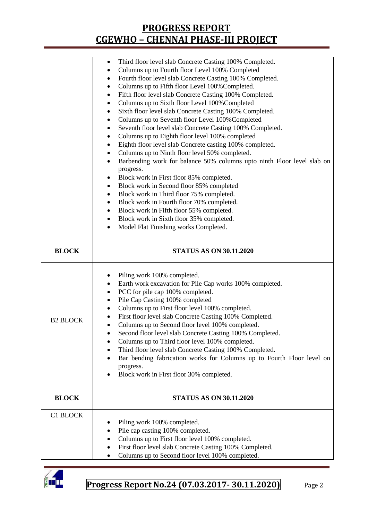|                 | Third floor level slab Concrete Casting 100% Completed.<br>$\bullet$                |  |  |  |  |  |  |
|-----------------|-------------------------------------------------------------------------------------|--|--|--|--|--|--|
|                 | Columns up to Fourth floor Level 100% Completed<br>٠                                |  |  |  |  |  |  |
|                 | Fourth floor level slab Concrete Casting 100% Completed.<br>٠                       |  |  |  |  |  |  |
|                 | Columns up to Fifth floor Level 100% Completed.<br>٠                                |  |  |  |  |  |  |
|                 | Fifth floor level slab Concrete Casting 100% Completed.<br>٠                        |  |  |  |  |  |  |
|                 | Columns up to Sixth floor Level 100% Completed<br>$\bullet$                         |  |  |  |  |  |  |
|                 | Sixth floor level slab Concrete Casting 100% Completed.<br>٠                        |  |  |  |  |  |  |
|                 | Columns up to Seventh floor Level 100% Completed<br>٠                               |  |  |  |  |  |  |
|                 | Seventh floor level slab Concrete Casting 100% Completed.<br>٠                      |  |  |  |  |  |  |
|                 | Columns up to Eighth floor level 100% completed<br>$\bullet$                        |  |  |  |  |  |  |
|                 | Eighth floor level slab Concrete casting 100% completed.<br>٠                       |  |  |  |  |  |  |
|                 | Columns up to Ninth floor level 50% completed.<br>٠                                 |  |  |  |  |  |  |
|                 | Barbending work for balance 50% columns upto ninth Floor level slab on<br>$\bullet$ |  |  |  |  |  |  |
|                 | progress.                                                                           |  |  |  |  |  |  |
|                 | Block work in First floor 85% completed.<br>٠                                       |  |  |  |  |  |  |
|                 | Block work in Second floor 85% completed<br>$\bullet$                               |  |  |  |  |  |  |
|                 | Block work in Third floor 75% completed.<br>٠                                       |  |  |  |  |  |  |
|                 | Block work in Fourth floor 70% completed.<br>٠                                      |  |  |  |  |  |  |
|                 | Block work in Fifth floor 55% completed.<br>٠                                       |  |  |  |  |  |  |
|                 | Block work in Sixth floor 35% completed.<br>٠                                       |  |  |  |  |  |  |
|                 | Model Flat Finishing works Completed.<br>$\bullet$                                  |  |  |  |  |  |  |
| <b>BLOCK</b>    | <b>STATUS AS ON 30.11.2020</b>                                                      |  |  |  |  |  |  |
|                 |                                                                                     |  |  |  |  |  |  |
|                 |                                                                                     |  |  |  |  |  |  |
|                 | Piling work 100% completed.<br>٠                                                    |  |  |  |  |  |  |
|                 | Earth work excavation for Pile Cap works 100% completed.<br>٠                       |  |  |  |  |  |  |
|                 | PCC for pile cap 100% completed.<br>$\bullet$                                       |  |  |  |  |  |  |
|                 | Pile Cap Casting 100% completed<br>٠                                                |  |  |  |  |  |  |
|                 | Columns up to First floor level 100% completed.<br>٠                                |  |  |  |  |  |  |
| <b>B2 BLOCK</b> | First floor level slab Concrete Casting 100% Completed.<br>٠                        |  |  |  |  |  |  |
|                 | Columns up to Second floor level 100% completed.<br>$\bullet$                       |  |  |  |  |  |  |
|                 | Second floor level slab Concrete Casting 100% Completed.                            |  |  |  |  |  |  |
|                 | Columns up to Third floor level 100% completed.                                     |  |  |  |  |  |  |
|                 | Third floor level slab Concrete Casting 100% Completed.<br>٠                        |  |  |  |  |  |  |
|                 | Bar bending fabrication works for Columns up to Fourth Floor level on               |  |  |  |  |  |  |
|                 | progress.                                                                           |  |  |  |  |  |  |
|                 | Block work in First floor 30% completed.                                            |  |  |  |  |  |  |
| <b>BLOCK</b>    | <b>STATUS AS ON 30.11.2020</b>                                                      |  |  |  |  |  |  |
|                 |                                                                                     |  |  |  |  |  |  |
| C1 BLOCK        |                                                                                     |  |  |  |  |  |  |
|                 | Piling work 100% completed.                                                         |  |  |  |  |  |  |
|                 | Pile cap casting 100% completed.<br>٠                                               |  |  |  |  |  |  |
|                 | Columns up to First floor level 100% completed.                                     |  |  |  |  |  |  |
|                 |                                                                                     |  |  |  |  |  |  |
|                 | First floor level slab Concrete Casting 100% Completed.                             |  |  |  |  |  |  |

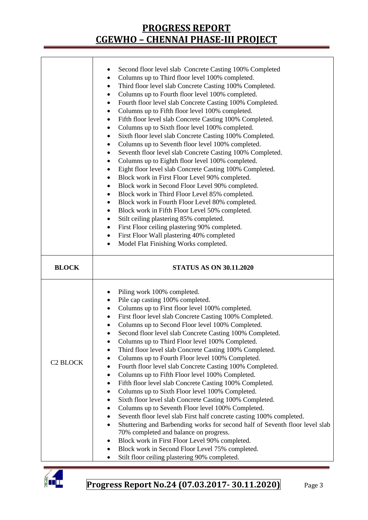|                      | Second floor level slab Concrete Casting 100% Completed<br>Columns up to Third floor level 100% completed.<br>٠<br>Third floor level slab Concrete Casting 100% Completed.<br>$\bullet$<br>Columns up to Fourth floor level 100% completed.<br>٠<br>Fourth floor level slab Concrete Casting 100% Completed.<br>$\bullet$<br>Columns up to Fifth floor level 100% completed.<br>٠<br>Fifth floor level slab Concrete Casting 100% Completed.<br>$\bullet$<br>Columns up to Sixth floor level 100% completed.<br>٠<br>Sixth floor level slab Concrete Casting 100% Completed.<br>٠<br>Columns up to Seventh floor level 100% completed.<br>٠<br>Seventh floor level slab Concrete Casting 100% Completed.<br>٠<br>Columns up to Eighth floor level 100% completed.<br>٠<br>Eight floor level slab Concrete Casting 100% Completed.<br>٠<br>Block work in First Floor Level 90% completed.<br>٠<br>Block work in Second Floor Level 90% completed.<br>٠<br>Block work in Third Floor Level 85% completed.<br>٠<br>Block work in Fourth Floor Level 80% completed.<br>٠<br>Block work in Fifth Floor Level 50% completed.<br>Stilt ceiling plastering 85% completed.<br>First Floor ceiling plastering 90% completed.<br>٠<br>First Floor Wall plastering 40% completed<br>٠<br>Model Flat Finishing Works completed.<br>٠ |  |  |  |  |  |
|----------------------|-------------------------------------------------------------------------------------------------------------------------------------------------------------------------------------------------------------------------------------------------------------------------------------------------------------------------------------------------------------------------------------------------------------------------------------------------------------------------------------------------------------------------------------------------------------------------------------------------------------------------------------------------------------------------------------------------------------------------------------------------------------------------------------------------------------------------------------------------------------------------------------------------------------------------------------------------------------------------------------------------------------------------------------------------------------------------------------------------------------------------------------------------------------------------------------------------------------------------------------------------------------------------------------------------------------------------|--|--|--|--|--|
| <b>BLOCK</b>         | <b>STATUS AS ON 30.11.2020</b>                                                                                                                                                                                                                                                                                                                                                                                                                                                                                                                                                                                                                                                                                                                                                                                                                                                                                                                                                                                                                                                                                                                                                                                                                                                                                          |  |  |  |  |  |
| C <sub>2</sub> BLOCK | Piling work 100% completed.<br>Pile cap casting 100% completed.<br>٠<br>Columns up to First floor level 100% completed.<br>٠<br>First floor level slab Concrete Casting 100% Completed.<br>٠<br>Columns up to Second Floor level 100% Completed.<br>$\bullet$<br>Second floor level slab Concrete Casting 100% Completed.<br>Columns up to Third Floor level 100% Completed.<br>Third floor level slab Concrete Casting 100% Completed.<br>$\bullet$<br>Columns up to Fourth Floor level 100% Completed.<br>Fourth floor level slab Concrete Casting 100% Completed.<br>٠<br>Columns up to Fifth Floor level 100% Completed.<br>٠<br>Fifth floor level slab Concrete Casting 100% Completed.<br>٠<br>Columns up to Sixth Floor level 100% Completed.<br>٠<br>Sixth floor level slab Concrete Casting 100% Completed.<br>Columns up to Seventh Floor level 100% Completed.<br>٠<br>Seventh floor level slab First half concrete casting 100% completed.<br>٠<br>Shuttering and Barbending works for second half of Seventh floor level slab<br>$\bullet$<br>70% completed and balance on progress.<br>Block work in First Floor Level 90% completed.<br>٠<br>Block work in Second Floor Level 75% completed.<br>٠<br>Stilt floor ceiling plastering 90% completed.<br>$\bullet$                                          |  |  |  |  |  |

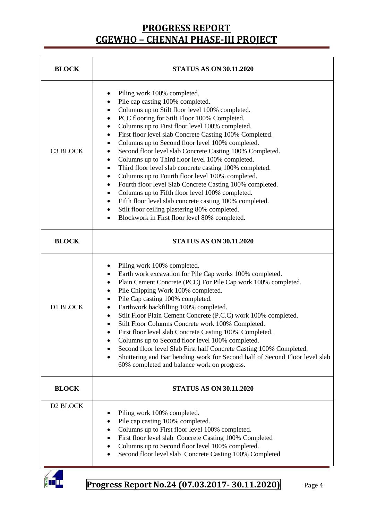| <b>BLOCK</b> | <b>STATUS AS ON 30.11.2020</b>                                                                                                                                                                                                                                                                                                                                                                                                                                                                                                                                                                                                                                                                                                                                                                                                                                                            |  |  |  |  |  |
|--------------|-------------------------------------------------------------------------------------------------------------------------------------------------------------------------------------------------------------------------------------------------------------------------------------------------------------------------------------------------------------------------------------------------------------------------------------------------------------------------------------------------------------------------------------------------------------------------------------------------------------------------------------------------------------------------------------------------------------------------------------------------------------------------------------------------------------------------------------------------------------------------------------------|--|--|--|--|--|
| C3 BLOCK     | Piling work 100% completed.<br>Pile cap casting 100% completed.<br>Columns up to Stilt floor level 100% completed.<br>PCC flooring for Stilt Floor 100% Completed.<br>Columns up to First floor level 100% completed.<br>٠<br>First floor level slab Concrete Casting 100% Completed.<br>Columns up to Second floor level 100% completed.<br>٠<br>Second floor level slab Concrete Casting 100% Completed.<br>Columns up to Third floor level 100% completed.<br>٠<br>Third floor level slab concrete casting 100% completed.<br>Columns up to Fourth floor level 100% completed.<br>٠<br>Fourth floor level Slab Concrete Casting 100% completed.<br>Columns up to Fifth floor level 100% completed.<br>٠<br>Fifth floor level slab concrete casting 100% completed.<br>٠<br>Stilt floor ceiling plastering 80% completed.<br>Blockwork in First floor level 80% completed.<br>$\bullet$ |  |  |  |  |  |
| <b>BLOCK</b> | <b>STATUS AS ON 30.11.2020</b>                                                                                                                                                                                                                                                                                                                                                                                                                                                                                                                                                                                                                                                                                                                                                                                                                                                            |  |  |  |  |  |
| D1 BLOCK     | Piling work 100% completed.<br>٠<br>Earth work excavation for Pile Cap works 100% completed.<br>٠<br>Plain Cement Concrete (PCC) For Pile Cap work 100% completed.<br>٠<br>Pile Chipping Work 100% completed.<br>Pile Cap casting 100% completed.<br>Earthwork backfilling 100% completed.<br>Stilt Floor Plain Cement Concrete (P.C.C) work 100% completed.<br>Stilt Floor Columns Concrete work 100% Completed.<br>First floor level slab Concrete Casting 100% Completed.<br>Columns up to Second floor level 100% completed.<br>Second floor level Slab First half Concrete Casting 100% Completed.<br>Shuttering and Bar bending work for Second half of Second Floor level slab<br>$\bullet$<br>60% completed and balance work on progress.                                                                                                                                         |  |  |  |  |  |
| <b>BLOCK</b> | <b>STATUS AS ON 30.11.2020</b>                                                                                                                                                                                                                                                                                                                                                                                                                                                                                                                                                                                                                                                                                                                                                                                                                                                            |  |  |  |  |  |
| D2 BLOCK     | Piling work 100% completed.<br>Pile cap casting 100% completed.<br>$\bullet$<br>Columns up to First floor level 100% completed.<br>First floor level slab Concrete Casting 100% Completed<br>Columns up to Second floor level 100% completed.<br>Second floor level slab Concrete Casting 100% Completed                                                                                                                                                                                                                                                                                                                                                                                                                                                                                                                                                                                  |  |  |  |  |  |

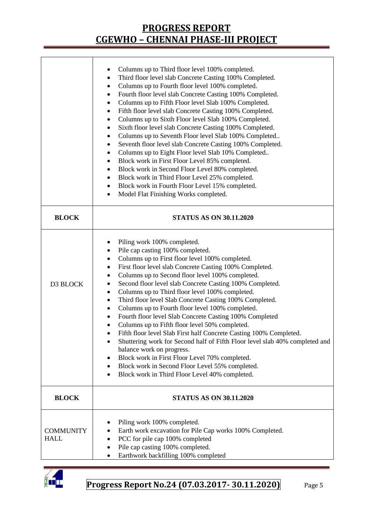|                                 | Columns up to Third floor level 100% completed.<br>Third floor level slab Concrete Casting 100% Completed.<br>$\bullet$<br>Columns up to Fourth floor level 100% completed.<br>Fourth floor level slab Concrete Casting 100% Completed.<br>٠<br>Columns up to Fifth Floor level Slab 100% Completed.<br>٠<br>Fifth floor level slab Concrete Casting 100% Completed.<br>٠<br>Columns up to Sixth Floor level Slab 100% Completed.<br>Sixth floor level slab Concrete Casting 100% Completed.<br>٠<br>Columns up to Seventh Floor level Slab 100% Completed<br>٠<br>Seventh floor level slab Concrete Casting 100% Completed.<br>٠<br>Columns up to Eight Floor level Slab 10% Completed<br>٠<br>Block work in First Floor Level 85% completed.<br>٠<br>Block work in Second Floor Level 80% completed.<br>٠<br>Block work in Third Floor Level 25% completed.<br>٠<br>Block work in Fourth Floor Level 15% completed.<br>٠<br>Model Flat Finishing Works completed.<br>٠                       |  |  |  |
|---------------------------------|------------------------------------------------------------------------------------------------------------------------------------------------------------------------------------------------------------------------------------------------------------------------------------------------------------------------------------------------------------------------------------------------------------------------------------------------------------------------------------------------------------------------------------------------------------------------------------------------------------------------------------------------------------------------------------------------------------------------------------------------------------------------------------------------------------------------------------------------------------------------------------------------------------------------------------------------------------------------------------------------|--|--|--|
| <b>BLOCK</b>                    | <b>STATUS AS ON 30.11.2020</b>                                                                                                                                                                                                                                                                                                                                                                                                                                                                                                                                                                                                                                                                                                                                                                                                                                                                                                                                                                 |  |  |  |
| D3 BLOCK                        | Piling work 100% completed.<br>٠<br>Pile cap casting 100% completed.<br>$\bullet$<br>Columns up to First floor level 100% completed.<br>٠<br>First floor level slab Concrete Casting 100% Completed.<br>٠<br>Columns up to Second floor level 100% completed.<br>Second floor level slab Concrete Casting 100% Completed.<br>٠<br>Columns up to Third floor level 100% completed.<br>٠<br>Third floor level Slab Concrete Casting 100% Completed.<br>٠<br>Columns up to Fourth floor level 100% completed.<br>٠<br>Fourth floor level Slab Concrete Casting 100% Completed<br>٠<br>Columns up to Fifth floor level 50% completed.<br>٠<br>Fifth floor level Slab First half Concrete Casting 100% Completed.<br>Shuttering work for Second half of Fifth Floor level slab 40% completed and<br>balance work on progress.<br>Block work in First Floor Level 70% completed.<br>٠<br>Block work in Second Floor Level 55% completed.<br>٠<br>Block work in Third Floor Level 40% completed.<br>٠ |  |  |  |
| <b>BLOCK</b>                    | <b>STATUS AS ON 30.11.2020</b>                                                                                                                                                                                                                                                                                                                                                                                                                                                                                                                                                                                                                                                                                                                                                                                                                                                                                                                                                                 |  |  |  |
| <b>COMMUNITY</b><br><b>HALL</b> | Piling work 100% completed.<br>Earth work excavation for Pile Cap works 100% Completed.<br>PCC for pile cap 100% completed<br>٠<br>Pile cap casting 100% completed.<br>٠<br>Earthwork backfilling 100% completed<br>$\bullet$                                                                                                                                                                                                                                                                                                                                                                                                                                                                                                                                                                                                                                                                                                                                                                  |  |  |  |

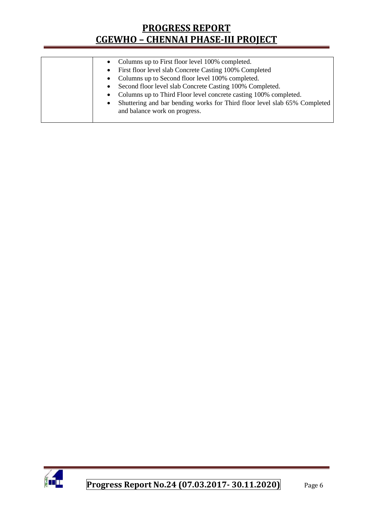| • Columns up to First floor level 100% completed.                                      |
|----------------------------------------------------------------------------------------|
| • First floor level slab Concrete Casting 100% Completed                               |
| • Columns up to Second floor level 100% completed.                                     |
| Second floor level slab Concrete Casting 100% Completed.<br>$\bullet$                  |
| Columns up to Third Floor level concrete casting 100% completed.                       |
| Shuttering and bar bending works for Third floor level slab 65% Completed<br>$\bullet$ |
| and balance work on progress.                                                          |
|                                                                                        |

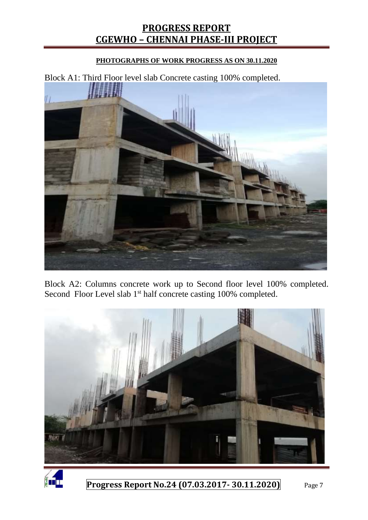#### **PHOTOGRAPHS OF WORK PROGRESS AS ON 30.11.2020**

Block A1: Third Floor level slab Concrete casting 100% completed. 腰粗

Block A2: Columns concrete work up to Second floor level 100% completed. Second Floor Level slab 1<sup>st</sup> half concrete casting 100% completed.



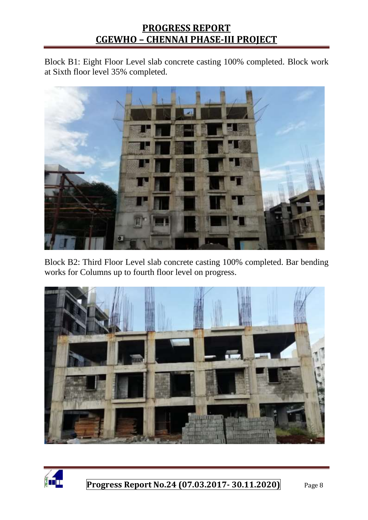Block B1: Eight Floor Level slab concrete casting 100% completed. Block work at Sixth floor level 35% completed.



Block B2: Third Floor Level slab concrete casting 100% completed. Bar bending works for Columns up to fourth floor level on progress.



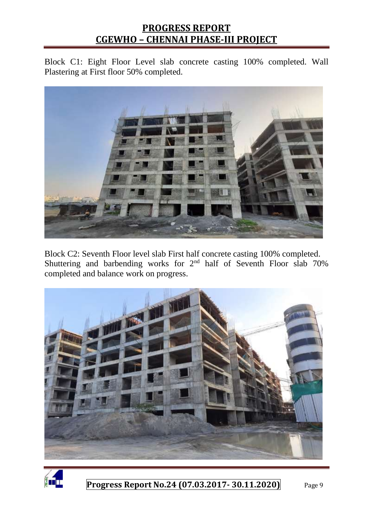Block C1: Eight Floor Level slab concrete casting 100% completed. Wall Plastering at First floor 50% completed.



Block C2: Seventh Floor level slab First half concrete casting 100% completed. Shuttering and barbending works for 2<sup>nd</sup> half of Seventh Floor slab 70% completed and balance work on progress.



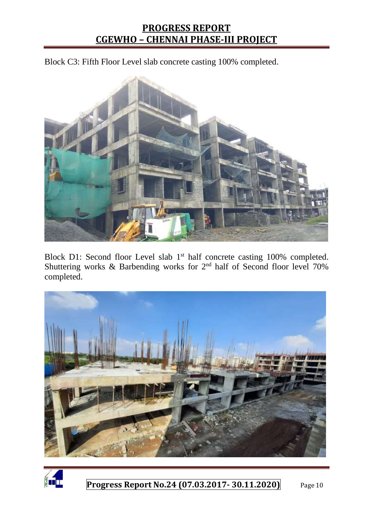Block C3: Fifth Floor Level slab concrete casting 100% completed.



Block D1: Second floor Level slab 1<sup>st</sup> half concrete casting 100% completed. Shuttering works & Barbending works for  $2<sup>nd</sup>$  half of Second floor level 70% completed.



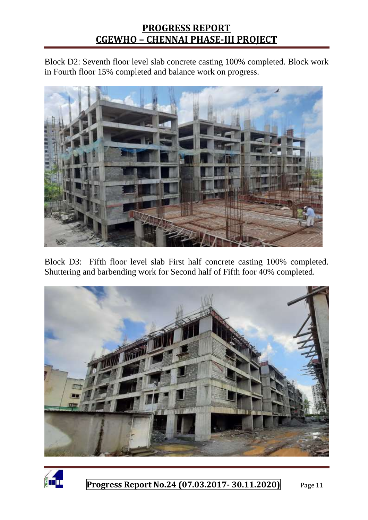Block D2: Seventh floor level slab concrete casting 100% completed. Block work in Fourth floor 15% completed and balance work on progress.



Block D3: Fifth floor level slab First half concrete casting 100% completed. Shuttering and barbending work for Second half of Fifth foor 40% completed.



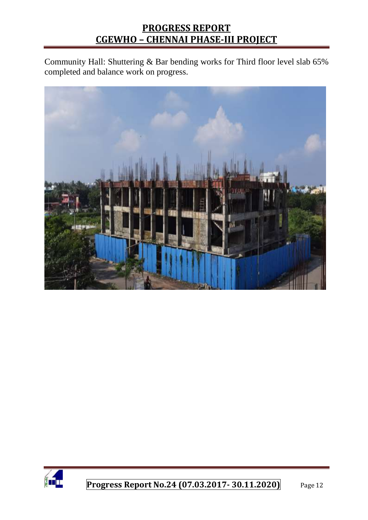Community Hall: Shuttering & Bar bending works for Third floor level slab 65% completed and balance work on progress.



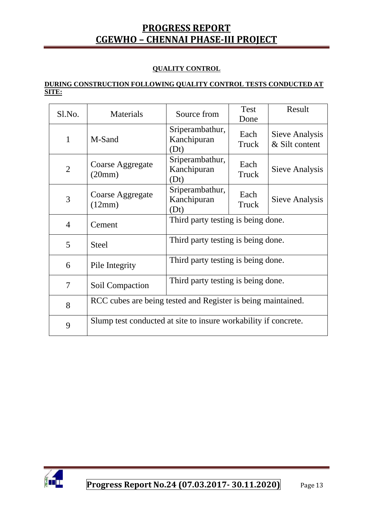#### **QUALITY CONTROL**

#### **DURING CONSTRUCTION FOLLOWING QUALITY CONTROL TESTS CONDUCTED AT SITE:**

| S1.No.         | Materials                                                       | Source from                            | <b>Test</b>           | Result                           |  |
|----------------|-----------------------------------------------------------------|----------------------------------------|-----------------------|----------------------------------|--|
| 1              | M-Sand                                                          | Sriperambathur,<br>Kanchipuran<br>(Dt) | Done<br>Each<br>Truck | Sieve Analysis<br>& Silt content |  |
| $\overline{2}$ | Coarse Aggregate<br>(20mm)                                      | Sriperambathur,<br>Kanchipuran<br>(Dt) | Each<br>Truck         | Sieve Analysis                   |  |
| 3              | Coarse Aggregate<br>(12mm)                                      | Sriperambathur,<br>Kanchipuran<br>(Dt) | Each<br>Truck         | Sieve Analysis                   |  |
| $\overline{4}$ | Cement                                                          | Third party testing is being done.     |                       |                                  |  |
| 5              | <b>Steel</b>                                                    | Third party testing is being done.     |                       |                                  |  |
| 6              | Pile Integrity                                                  | Third party testing is being done.     |                       |                                  |  |
| 7              | Soil Compaction                                                 | Third party testing is being done.     |                       |                                  |  |
| 8              | RCC cubes are being tested and Register is being maintained.    |                                        |                       |                                  |  |
| 9              | Slump test conducted at site to insure workability if concrete. |                                        |                       |                                  |  |

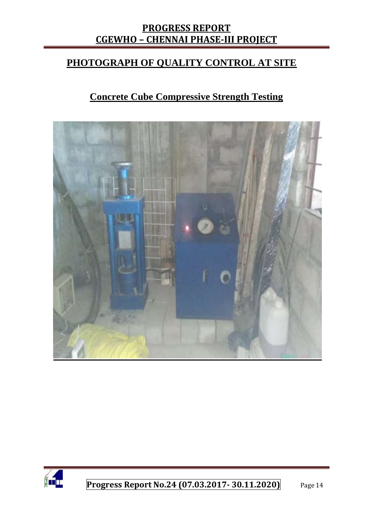#### **PHOTOGRAPH OF QUALITY CONTROL AT SITE**

## **Concrete Cube Compressive Strength Testing**



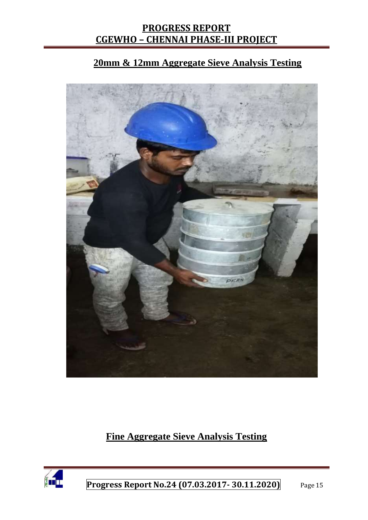## **20mm & 12mm Aggregate Sieve Analysis Testing**



# **Fine Aggregate Sieve Analysis Testing**